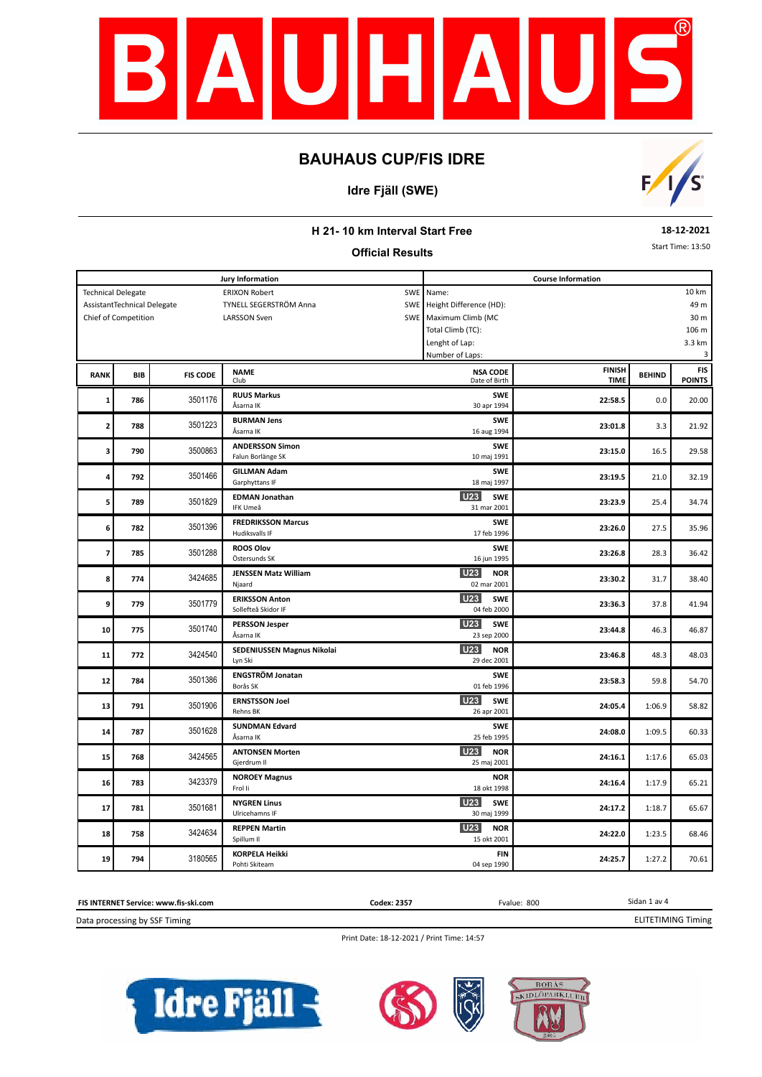

### **Idre Fjäll (SWE)**



#### **H 21- 10 km Interval Start Free**

#### **Official Results**

**18-12-2021**

Start Time: 13:50

|                         |                             |                 | <b>Jury Information</b>                     |            | <b>Course Information</b>               |               |               |               |  |  |  |
|-------------------------|-----------------------------|-----------------|---------------------------------------------|------------|-----------------------------------------|---------------|---------------|---------------|--|--|--|
|                         | <b>Technical Delegate</b>   |                 | <b>ERIXON Robert</b>                        | SWE        | 10 km<br>Name:                          |               |               |               |  |  |  |
|                         | AssistantTechnical Delegate |                 | TYNELL SEGERSTRÖM Anna                      | <b>SWE</b> | Height Difference (HD):                 | 49 m          |               |               |  |  |  |
|                         | Chief of Competition        |                 | <b>LARSSON Sven</b>                         | SWE        | Maximum Climb (MC                       |               |               | 30 m          |  |  |  |
|                         |                             |                 |                                             |            | Total Climb (TC):                       |               |               | 106 m         |  |  |  |
|                         |                             |                 |                                             |            | Lenght of Lap:                          |               |               | 3.3 km        |  |  |  |
|                         |                             |                 |                                             |            | Number of Laps:                         |               |               | 3             |  |  |  |
|                         |                             |                 | <b>NAME</b>                                 |            | <b>NSA CODE</b>                         | <b>FINISH</b> |               | <b>FIS</b>    |  |  |  |
| <b>RANK</b>             | <b>BIB</b>                  | <b>FIS CODE</b> | Club                                        |            | Date of Birth                           | <b>TIME</b>   | <b>BEHIND</b> | <b>POINTS</b> |  |  |  |
|                         |                             |                 | <b>RUUS Markus</b>                          |            | <b>SWE</b>                              |               |               |               |  |  |  |
| $\mathbf{1}$            | 786                         | 3501176         | Åsarna IK                                   |            | 30 apr 1994                             | 22:58.5       | 0.0           | 20.00         |  |  |  |
|                         |                             |                 | <b>BURMAN Jens</b>                          |            | <b>SWE</b>                              |               |               |               |  |  |  |
| 2                       | 788                         | 3501223         | Åsarna IK                                   |            | 16 aug 1994                             | 23:01.8       | 3.3           | 21.92         |  |  |  |
|                         |                             |                 |                                             |            |                                         |               |               |               |  |  |  |
| 3                       | 790                         | 3500863         | <b>ANDERSSON Simon</b><br>Falun Borlänge SK |            | <b>SWE</b><br>10 maj 1991               | 23:15.0       | 16.5          | 29.58         |  |  |  |
|                         |                             |                 |                                             |            |                                         |               |               |               |  |  |  |
| 4                       | 792                         | 3501466         | <b>GILLMAN Adam</b>                         |            | <b>SWE</b>                              | 23:19.5       | 21.0          | 32.19         |  |  |  |
|                         |                             |                 | Garphyttans IF                              |            | 18 maj 1997                             |               |               |               |  |  |  |
| 5                       | 789                         | 3501829         | <b>EDMAN Jonathan</b>                       |            | <b>U23</b><br><b>SWE</b>                | 23:23.9       | 25.4          | 34.74         |  |  |  |
|                         |                             |                 | IFK Umeå                                    |            | 31 mar 2001                             |               |               |               |  |  |  |
| 6                       | 782                         | 3501396         | <b>FREDRIKSSON Marcus</b>                   |            | <b>SWE</b>                              | 23:26.0       | 27.5          | 35.96         |  |  |  |
|                         |                             |                 | Hudiksvalls IF                              |            | 17 feb 1996                             |               |               |               |  |  |  |
| $\overline{\mathbf{z}}$ | 785                         | 3501288         | <b>ROOS Olov</b>                            |            | <b>SWE</b>                              | 23:26.8       | 28.3          | 36.42         |  |  |  |
|                         |                             |                 | Östersunds SK                               |            | 16 jun 1995                             |               |               |               |  |  |  |
| 8                       | 774                         | 3424685         | <b>JENSSEN Matz William</b>                 |            | <b>U23</b><br><b>NOR</b>                |               |               | 38.40         |  |  |  |
|                         |                             |                 | Njaard                                      |            | 02 mar 2001                             | 23:30.2       | 31.7          |               |  |  |  |
|                         |                             |                 | <b>ERIKSSON Anton</b>                       |            | <b>U23</b><br><b>SWE</b>                |               |               |               |  |  |  |
| 9                       | 779                         | 3501779         | Sollefteå Skidor IF                         |            | 04 feb 2000                             | 23:36.3       | 37.8          | 41.94         |  |  |  |
|                         |                             |                 | <b>PERSSON Jesper</b>                       |            | U23<br><b>SWE</b>                       |               |               |               |  |  |  |
| 10                      | 775                         | 3501740         | Åsarna IK                                   |            | 23 sep 2000                             | 23:44.8       | 46.3          | 46.87         |  |  |  |
|                         |                             |                 | SEDENIUSSEN Magnus Nikolai                  |            | <b>U23</b><br><b>NOR</b>                |               |               |               |  |  |  |
| 11                      | 772                         | 3424540         | Lyn Ski                                     |            | 29 dec 2001                             | 23:46.8       | 48.3          | 48.03         |  |  |  |
|                         |                             |                 | <b>ENGSTRÖM Jonatan</b>                     |            | <b>SWE</b>                              |               |               |               |  |  |  |
| 12                      | 784                         | 3501386         | Borås SK                                    |            | 01 feb 1996                             | 23:58.3       | 59.8          | 54.70         |  |  |  |
|                         |                             |                 | <b>ERNSTSSON Joel</b>                       |            | U23<br><b>SWE</b>                       |               |               |               |  |  |  |
| 13                      | 791                         | 3501906         | Rehns BK                                    |            | 26 apr 2001                             | 24:05.4       | 1:06.9        | 58.82         |  |  |  |
|                         |                             |                 |                                             |            |                                         |               |               |               |  |  |  |
| 14                      | 787                         | 3501628         | <b>SUNDMAN Edvard</b><br>Åsarna IK          |            | <b>SWE</b><br>25 feb 1995               | 24:08.0       | 1:09.5        | 60.33         |  |  |  |
|                         |                             |                 |                                             |            |                                         |               |               |               |  |  |  |
| 15                      | 768                         | 3424565         | <b>ANTONSEN Morten</b><br>Gjerdrum II       |            | <b>U23</b><br><b>NOR</b><br>25 maj 2001 | 24:16.1       | 1:17.6        | 65.03         |  |  |  |
|                         |                             |                 |                                             |            |                                         |               |               |               |  |  |  |
| 16                      | 783                         | 3423379         | <b>NOROEY Magnus</b>                        |            | <b>NOR</b>                              | 24:16.4       | 1:17.9        | 65.21         |  |  |  |
|                         |                             |                 | Frol li                                     |            | 18 okt 1998                             |               |               |               |  |  |  |
| 17                      | 781                         | 3501681         | <b>NYGREN Linus</b>                         |            | <b>U23</b><br><b>SWE</b>                | 24:17.2       | 1:18.7        | 65.67         |  |  |  |
|                         |                             |                 | Ulricehamns IF                              |            | 30 maj 1999                             |               |               |               |  |  |  |
| 18                      | 758                         | 3424634         | <b>REPPEN Martin</b>                        |            | <b>U23</b><br><b>NOR</b>                | 24:22.0       | 1:23.5        | 68.46         |  |  |  |
|                         |                             |                 | Spillum II                                  |            | 15 okt 2001                             |               |               |               |  |  |  |
| 19                      | 794                         | 3180565         | <b>KORPELA Heikki</b>                       |            | <b>FIN</b>                              | 24:25.7       | 1:27.2        | 70.61         |  |  |  |
|                         |                             |                 | Pohti Skiteam                               |            | 04 sep 1990                             |               |               |               |  |  |  |



Print Date: 18-12-2021 / Print Time: 14:57





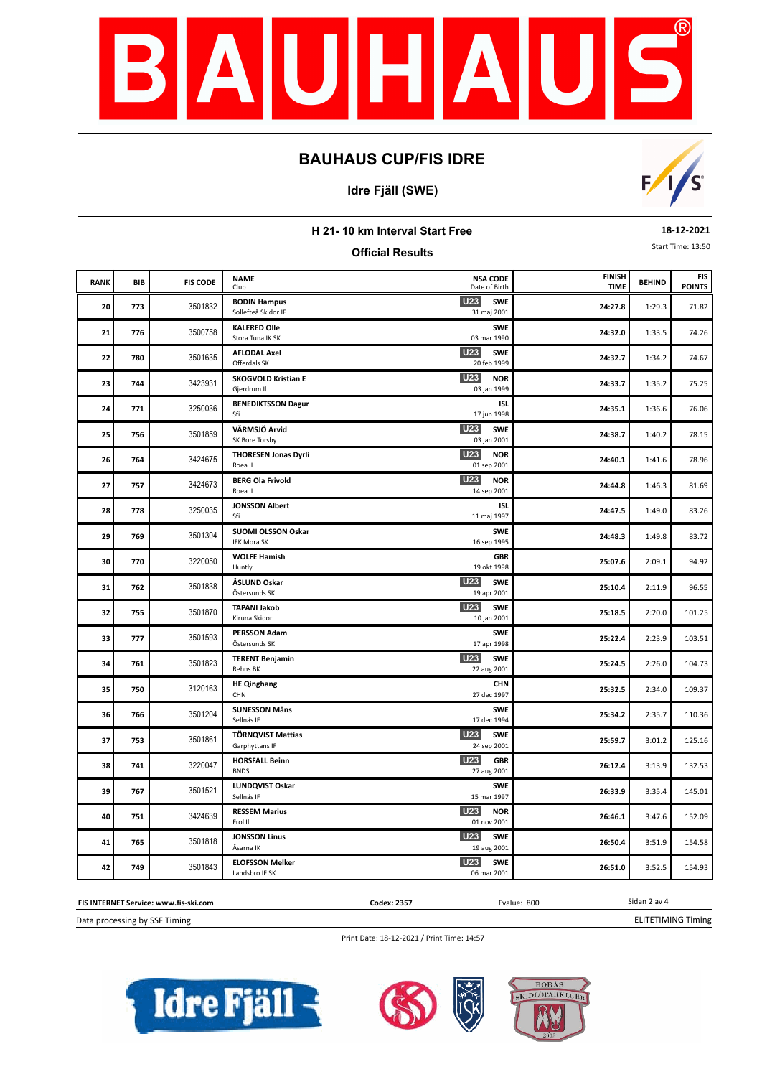

#### **Idre Fjäll (SWE)**



**FIS** 

# **H 21- 10 km Interval Start Free Official Results 18-12-2021** Start Time: 13:50 **BEHIND POINTS BIB POINTS POINTS POINTS POINTS POINTS POINTS POINTS POINTS POINTS POINTS POINTS POINTS** Date of Birth **NSA CODE U23 U23 U23 U23 U23 U23**

|    | BIB | <b>FIS CODE</b> | <b>NAME</b><br>Club                        | <b>NSA CODE</b><br>Date of Birth        | <b>FINISH</b><br><b>TIME</b> | <b>BEHIND</b> | <b>FIS</b><br><b>POINTS</b> |
|----|-----|-----------------|--------------------------------------------|-----------------------------------------|------------------------------|---------------|-----------------------------|
| 20 | 773 | 3501832         | <b>BODIN Hampus</b><br>Sollefteå Skidor IF | U23<br><b>SWE</b><br>31 maj 2001        | 24:27.8                      | 1:29.3        | 71.82                       |
| 21 | 776 | 3500758         | <b>KALERED Olle</b><br>Stora Tuna IK SK    | <b>SWE</b><br>03 mar 1990               | 24:32.0                      | 1:33.5        | 74.26                       |
| 22 | 780 | 3501635         | <b>AFLODAL Axel</b><br>Offerdals SK        | U23<br><b>SWE</b><br>20 feb 1999        | 24:32.7                      | 1:34.2        | 74.67                       |
| 23 | 744 | 3423931         | <b>SKOGVOLD Kristian E</b><br>Gjerdrum II  | U23<br><b>NOR</b><br>03 jan 1999        | 24:33.7                      | 1:35.2        | 75.25                       |
| 24 | 771 | 3250036         | <b>BENEDIKTSSON Dagur</b><br>Sfi           | <b>ISL</b><br>17 jun 1998               | 24:35.1                      | 1:36.6        | 76.06                       |
| 25 | 756 | 3501859         | VÄRMSJÖ Arvid<br>SK Bore Torsby            | U23<br><b>SWE</b><br>03 jan 2001        | 24:38.7                      | 1:40.2        | 78.15                       |
| 26 | 764 | 3424675         | <b>THORESEN Jonas Dyrli</b><br>Roea IL     | U23<br><b>NOR</b><br>01 sep 2001        | 24:40.1                      | 1:41.6        | 78.96                       |
| 27 | 757 | 3424673         | <b>BERG Ola Frivold</b><br>Roea IL         | <b>U23</b><br><b>NOR</b><br>14 sep 2001 | 24:44.8                      | 1:46.3        | 81.69                       |
| 28 | 778 | 3250035         | <b>JONSSON Albert</b><br>Sfi               | <b>ISL</b><br>11 maj 1997               | 24:47.5                      | 1:49.0        | 83.26                       |
| 29 | 769 | 3501304         | SUOMI OLSSON Oskar<br><b>IFK Mora SK</b>   | <b>SWE</b><br>16 sep 1995               | 24:48.3                      | 1:49.8        | 83.72                       |
| 30 | 770 | 3220050         | <b>WOLFE Hamish</b><br>Huntly              | <b>GBR</b><br>19 okt 1998               | 25:07.6                      | 2:09.1        | 94.92                       |
| 31 | 762 | 3501838         | ÅSLUND Oskar<br>Östersunds SK              | <b>U23</b><br><b>SWE</b><br>19 apr 2001 | 25:10.4                      | 2:11.9        | 96.55                       |
| 32 | 755 | 3501870         | <b>TAPANI Jakob</b><br>Kiruna Skidor       | <b>U23</b><br><b>SWE</b><br>10 jan 2001 | 25:18.5                      | 2:20.0        | 101.25                      |
| 33 | 777 | 3501593         | <b>PERSSON Adam</b><br>Östersunds SK       | <b>SWE</b><br>17 apr 1998               | 25:22.4                      | 2:23.9        | 103.51                      |
| 34 | 761 | 3501823         | <b>TERENT Benjamin</b><br>Rehns BK         | U23<br><b>SWE</b><br>22 aug 2001        | 25:24.5                      | 2:26.0        | 104.73                      |
| 35 | 750 | 3120163         | <b>HE Qinghang</b><br>CHN                  | CHN<br>27 dec 1997                      | 25:32.5                      | 2:34.0        | 109.37                      |
| 36 | 766 | 3501204         | <b>SUNESSON Måns</b><br>Sellnäs IF         | <b>SWE</b><br>17 dec 1994               | 25:34.2                      | 2:35.7        | 110.36                      |
| 37 | 753 | 3501861         | <b>TÖRNQVIST Mattias</b><br>Garphyttans IF | U23<br><b>SWE</b><br>24 sep 2001        | 25:59.7                      | 3:01.2        | 125.16                      |
| 38 | 741 | 3220047         | <b>HORSFALL Beinn</b><br><b>BNDS</b>       | U23<br><b>GBR</b><br>27 aug 2001        | 26:12.4                      | 3:13.9        | 132.53                      |
| 39 | 767 | 3501521         | LUNDQVIST Oskar<br>Sellnäs IF              | <b>SWE</b><br>15 mar 1997               | 26:33.9                      | 3:35.4        | 145.01                      |
| 40 | 751 | 3424639         | <b>RESSEM Marius</b><br>Frol II            | U23<br><b>NOR</b><br>01 nov 2001        | 26:46.1                      | 3:47.6        | 152.09                      |
| 41 | 765 | 3501818         | <b>JONSSON Linus</b><br>Åsarna IK          | U23<br><b>SWE</b><br>19 aug 2001        | 26:50.4                      | 3:51.9        | 154.58                      |
| 42 | 749 | 3501843         | <b>ELOFSSON Melker</b><br>Landsbro IF SK   | <b>U23</b><br><b>SWE</b><br>06 mar 2001 | 26:51.0                      | 3:52.5        | 154.93                      |

Data processing by SSF Timing **FIS INTERNET Service: www.fis-ski.com** **Codex: 2357** Fvalue: 800

ELITETIMING Timing

Sidan 2 av 4

Print Date: 18-12-2021 / Print Time: 14:57





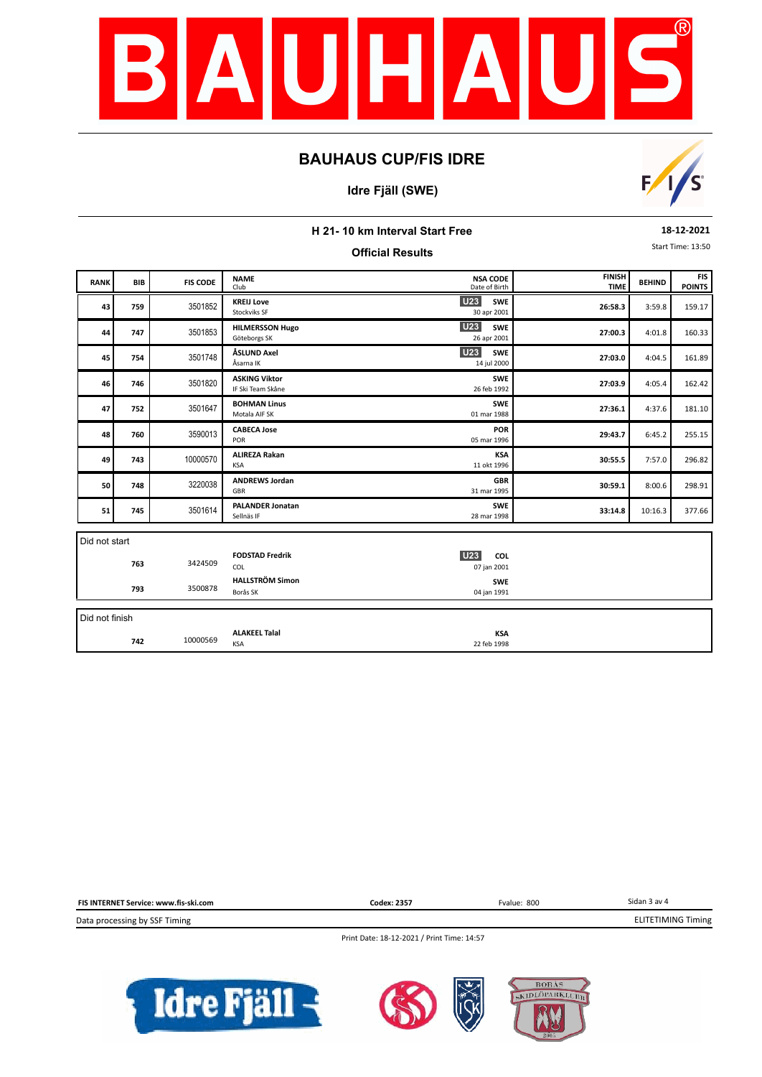

#### **Idre Fjäll (SWE)**



| H 21-10 km Interval Start Free               |                                                                                                                   |          |                                           |                                         |         |         |        |  |
|----------------------------------------------|-------------------------------------------------------------------------------------------------------------------|----------|-------------------------------------------|-----------------------------------------|---------|---------|--------|--|
| Start Time: 13:50<br><b>Official Results</b> |                                                                                                                   |          |                                           |                                         |         |         |        |  |
| <b>RANK</b>                                  | <b>FINISH</b><br><b>NSA CODE</b><br><b>NAME</b><br><b>FIS CODE</b><br>BIB<br><b>TIME</b><br>Date of Birth<br>Club |          |                                           |                                         |         |         |        |  |
| 43                                           | 759                                                                                                               | 3501852  | <b>KREIJ Love</b><br>Stockviks SF         | <b>U23</b><br><b>SWE</b><br>30 apr 2001 | 26:58.3 | 3:59.8  | 159.17 |  |
| 44                                           | 747                                                                                                               | 3501853  | <b>HILMERSSON Hugo</b><br>Göteborgs SK    | <b>U23</b><br><b>SWE</b><br>26 apr 2001 | 27:00.3 | 4:01.8  | 160.33 |  |
| 45                                           | 754                                                                                                               | 3501748  | ÅSLUND Axel<br>Åsarna IK                  | <b>U23</b><br><b>SWE</b><br>14 jul 2000 | 27:03.0 | 4:04.5  | 161.89 |  |
| 46                                           | 746                                                                                                               | 3501820  | <b>ASKING Viktor</b><br>IF Ski Team Skåne | <b>SWE</b><br>26 feb 1992               | 27:03.9 | 4:05.4  | 162.42 |  |
| 47                                           | 752                                                                                                               | 3501647  | <b>BOHMAN Linus</b><br>Motala AIF SK      | SWE<br>01 mar 1988                      | 27:36.1 | 4:37.6  | 181.10 |  |
| 48                                           | 760                                                                                                               | 3590013  | <b>CABECA Jose</b><br>POR                 | <b>POR</b><br>05 mar 1996               | 29:43.7 | 6:45.2  | 255.15 |  |
| 49                                           | 743                                                                                                               | 10000570 | <b>ALIREZA Rakan</b><br><b>KSA</b>        | <b>KSA</b><br>11 okt 1996               | 30:55.5 | 7:57.0  | 296.82 |  |
| 50                                           | 748                                                                                                               | 3220038  | <b>ANDREWS Jordan</b><br>GBR              | <b>GBR</b><br>31 mar 1995               | 30:59.1 | 8:00.6  | 298.91 |  |
| 51                                           | 745                                                                                                               | 3501614  | <b>PALANDER Jonatan</b><br>Sellnäs IF     | <b>SWE</b><br>28 mar 1998               | 33:14.8 | 10:16.3 | 377.66 |  |
| Did not start                                |                                                                                                                   |          |                                           |                                         |         |         |        |  |
|                                              | 763                                                                                                               | 3424509  | <b>FODSTAD Fredrik</b><br>COL             | U23<br>COL<br>07 jan 2001               |         |         |        |  |
|                                              | 793                                                                                                               | 3500878  | <b>HALLSTRÖM Simon</b><br>Borås SK        | <b>SWE</b><br>04 jan 1991               |         |         |        |  |
| Did not finish                               |                                                                                                                   |          |                                           |                                         |         |         |        |  |
|                                              | 742                                                                                                               | 10000569 | <b>ALAKEEL Talal</b><br><b>KSA</b>        | <b>KSA</b><br>22 feb 1998               |         |         |        |  |

Sidan 3 av 4 Data processing by SSF Timing **FIS INTERNET Service: www.fis-ski.com** ELITETIMING Timing **Codex: 2357** Fvalue: 800

Print Date: 18-12-2021 / Print Time: 14:57